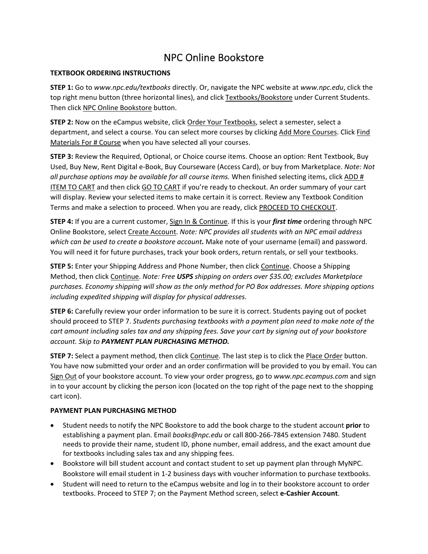### NPC Online Bookstore

#### **TEXTBOOK ORDERING INSTRUCTIONS**

**STEP 1:** Go to *www.npc.edu/textbooks* directly. Or, navigate the NPC website at *www.npc.edu*, click the top right menu button (three horizontal lines), and click Textbooks/Bookstore under Current Students. Then click NPC Online Bookstore button.

**STEP 2:** Now on the eCampus website, click Order Your Textbooks, select a semester, select a department, and select a course. You can select more courses by clicking Add More Courses. Click Find Materials For # Course when you have selected all your courses.

**STEP 3:** Review the Required, Optional, or Choice course items. Choose an option: Rent Textbook, Buy Used, Buy New, Rent Digital e‐Book, Buy Courseware (Access Card), or buy from Marketplace. *Note: Not all purchase options may be available for all course items.* When finished selecting items, click ADD # ITEM TO CART and then click GO TO CART if you're ready to checkout. An order summary of your cart will display. Review your selected items to make certain it is correct. Review any Textbook Condition Terms and make a selection to proceed. When you are ready, click PROCEED TO CHECKOUT.

**STEP 4:** If you are a current customer, Sign In & Continue. If this is your *first time* ordering through NPC Online Bookstore, select Create Account. *Note: NPC provides all students with an NPC email address which can be used to create a bookstore account.* Make note of your username (email) and password. You will need it for future purchases, track your book orders, return rentals, or sell your textbooks.

**STEP 5:** Enter your Shipping Address and Phone Number, then click Continue. Choose a Shipping Method, then click Continue. *Note: Free USPS shipping on orders over \$35.00; excludes Marketplace purchases. Economy shipping will show as the only method for PO Box addresses. More shipping options including expedited shipping will display for physical addresses.* 

**STEP 6:** Carefully review your order information to be sure it is correct. Students paying out of pocket should proceed to STEP 7. *Students purchasing textbooks with a payment plan need to make note of the* cart amount including sales tax and any shipping fees. Save your cart by signing out of your bookstore *account. Skip to PAYMENT PLAN PURCHASING METHOD.*

**STEP 7:** Select a payment method, then click Continue. The last step is to click the Place Order button. You have now submitted your order and an order confirmation will be provided to you by email. You can Sign Out of your bookstore account. To view your order progress, go to *www.npc.ecampus.com* and sign in to your account by clicking the person icon (located on the top right of the page next to the shopping cart icon).

#### **PAYMENT PLAN PURCHASING METHOD**

- Student needs to notify the NPC Bookstore to add the book charge to the student account **prior** to establishing a payment plan. Email *books@npc.edu* or call 800‐266‐7845 extension 7480. Student needs to provide their name, student ID, phone number, email address, and the exact amount due for textbooks including sales tax and any shipping fees.
- Bookstore will bill student account and contact student to set up payment plan through MyNPC. Bookstore will email student in 1‐2 business days with voucher information to purchase textbooks.
- Student will need to return to the eCampus website and log in to their bookstore account to order textbooks. Proceed to STEP 7; on the Payment Method screen, select **e‐Cashier Account**.